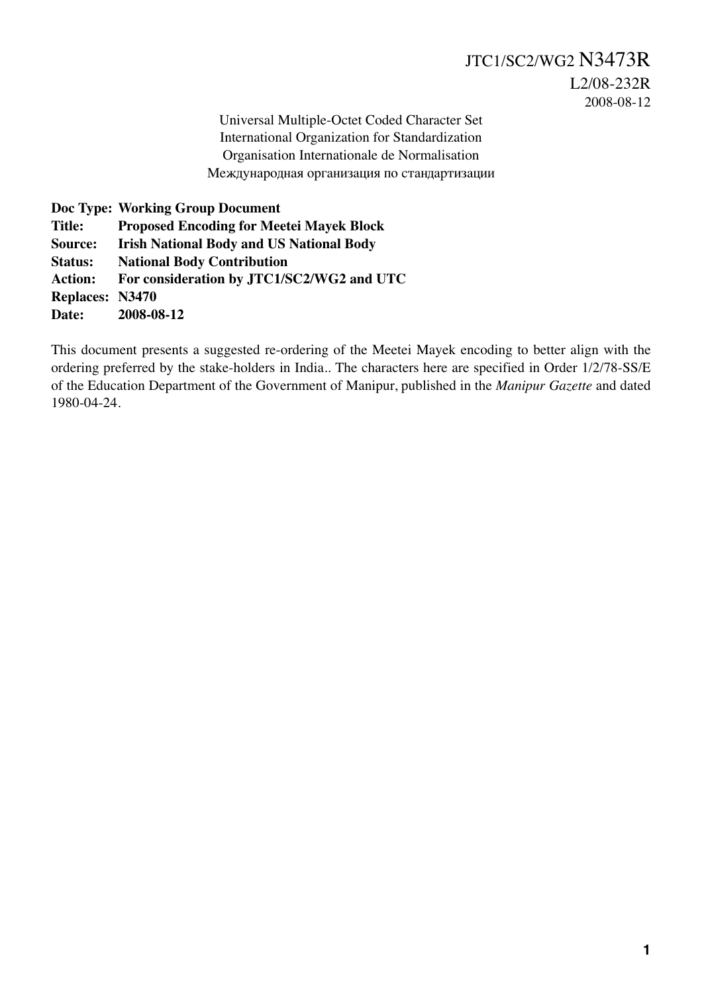Universal Multiple-Octet Coded Character Set International Organization for Standardization Organisation Internationale de Normalisation Международная организация по стандартизации

**Doc Type: Working Group Document Title: Proposed Encoding for Meetei Mayek Block Source: Irish National Body and US National Body Status: National Body Contribution Action: For consideration by JTC1/SC2/WG2 and UTC Replaces: N3470 Date: 2008-08-12**

This document presents a suggested re-ordering of the Meetei Mayek encoding to better align with the ordering preferred by the stake-holders in India.. The characters here are specified in Order 1/2/78-SS/E of the Education Department of the Government of Manipur, published in the *Manipur Gazette* and dated 1980-04-24.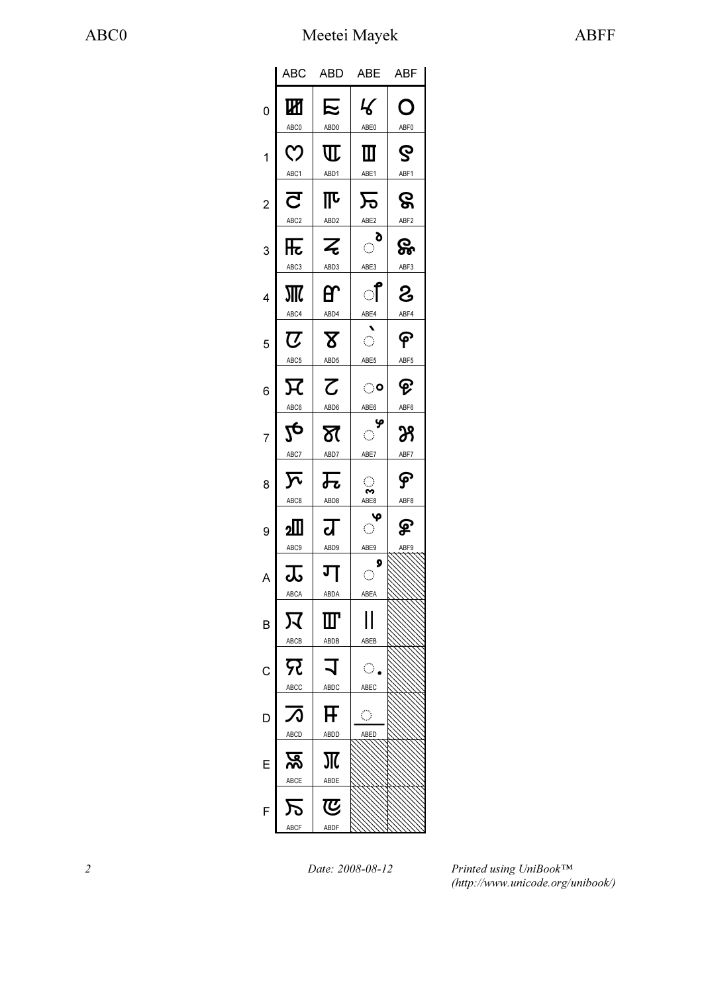|                | <b>ABC</b>                                  | <b>ABD</b>                       | <b>ABE</b>                                                              | ABF        |
|----------------|---------------------------------------------|----------------------------------|-------------------------------------------------------------------------|------------|
| 0              | Ш<br>ABC0                                   | に<br>ABD0                        | $\mathcal{L}% _{0}^{\prime}=\mathcal{L}_{\mathrm{CL}}^{\prime}$<br>ABE0 | O<br>ABF0  |
| 1              | <u>(</u><br>ABC1                            | $\Pi$<br>ABD <sub>1</sub>        | Ш<br>ABE1                                                               | ဇွ<br>ABF1 |
| $\overline{c}$ | $\overline{\mathbf{C}}$<br>ABC <sub>2</sub> | 邒<br>ABD <sub>2</sub>            | 万<br>ABE2                                                               | ဇွ<br>ABF2 |
| 3              | 压<br>ABC3                                   | Z<br>ABD3                        | ಿ<br>ABE3                                                               | ႙ၟ<br>ABF3 |
| 4              | ABC4                                        | ᢡ<br>ABD4                        | ੀ                                                                       | රි<br>ABF4 |
| 5              | $\overline{\boldsymbol{U}}$                 | ${\bf Z}$                        | ABE4<br>$\hat{\mathcal{L}}$<br>ABE5                                     | ၉          |
| 6              | ABC5<br>又                                   | ABD5<br>$\overline{\mathcal{C}}$ | ං                                                                       | ABF5<br>ତ୍ |
| 7              | ABC6<br>$2\overline{c}$                     | ABD6<br>$\overline{\delta}$ (    | ABE6<br>ዏ<br>$\ddot{\circ}$                                             | ABF6<br>ℬ  |
| 8              | ABC7<br>$\overline{\mathcal{F}}$            | ABD7<br>瓦                        | ABE7<br>$\bigcirc$<br>∾                                                 | ABF7<br>န  |
| 9              | ABC8<br>⅏                                   | ABD8<br>द्व                      | ABE8<br>့မှ<br>$\langle \rangle$                                        | ABF8<br>ௐ  |
| A              | ABC9<br>$\overline{\mathbf{r}}$             | ABD9<br>ग                        | ABE9<br>9<br>$\bigcirc$                                                 | ABF9       |
| В              | ABCA<br>又                                   | ABDA<br>${I\!I\!T}$              | ABEA                                                                    |            |
| С              | ABCB<br><u>द</u> र                          | ABDB                             | ABEB<br>$\langle \cdot \rangle$                                         |            |
| D              | ABCC                                        | ABDC<br>F                        | ABEC<br>ୁ                                                               |            |
|                | <b>ABCD</b><br><u>प्रू</u>                  | ABDD<br>Ж                        | ABED                                                                    |            |
| E              | ABCE                                        | ABDE<br>le)                      |                                                                         |            |
| F              | ABCF                                        | ABDF                             |                                                                         |            |

2 Date: 2008-08-12

Printed using UniBook™ (http://www.unicode.org/unibook/)